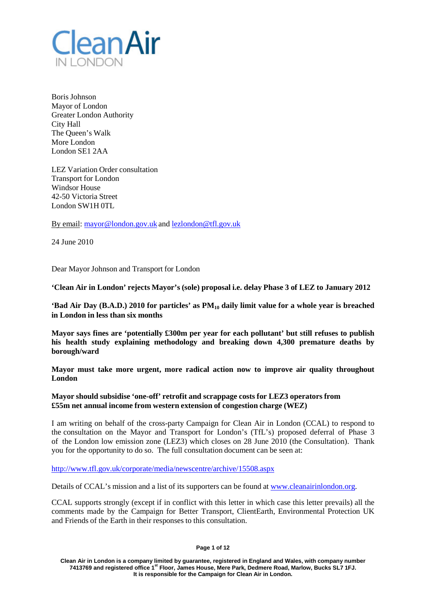

Boris Johnson Mayor of London Greater London Authority City Hall The Queen's Walk More London London SE1 2AA

LEZ Variation Order consultation Transport for London Windsor House 42-50 Victoria Street London SW1H 0TL

By email: [mayor@london.gov.uk](mailto:mayor@london.gov.uk) and [lezlondon@tfl.gov.uk](mailto:lezlondon@tfl.gov.uk)

24 June 2010

Dear Mayor Johnson and Transport for London

**'Clean Air in London' rejects Mayor's (sole) proposal i.e. delay Phase 3 of LEZ to January 2012**

**'Bad Air Day (B.A.D.) 2010 for particles' as PM10 daily limit value for a whole year is breached in London in less than six months**

**Mayor says fines are 'potentially £300m per year for each pollutant' but still refuses to publish his health study explaining methodology and breaking down 4,300 premature deaths by borough/ward**

**Mayor must take more urgent, more radical action now to improve air quality throughout London**

# **Mayor should subsidise 'one-off' retrofit and scrappage costs for LEZ3 operators from £55m net annual income from western extension of congestion charge (WEZ)**

I am writing on behalf of the cross-party Campaign for Clean Air in London (CCAL) to respond to the consultation on the Mayor and Transport for London's (TfL's) proposed deferral of Phase 3 of the London low emission zone (LEZ3) which closes on 28 June 2010 (the Consultation). Thank you for the opportunity to do so. The full consultation document can be seen at:

<http://www.tfl.gov.uk/corporate/media/newscentre/archive/15508.aspx>

Details of CCAL's mission and a list of its supporters can be found at [www.cleanairinlondon.org.](http://www.cleanairinlondon.org/)

CCAL supports strongly (except if in conflict with this letter in which case this letter prevails) all the comments made by the Campaign for Better Transport, ClientEarth, Environmental Protection UK and Friends of the Earth in their responses to this consultation.

**Page 1 of 12**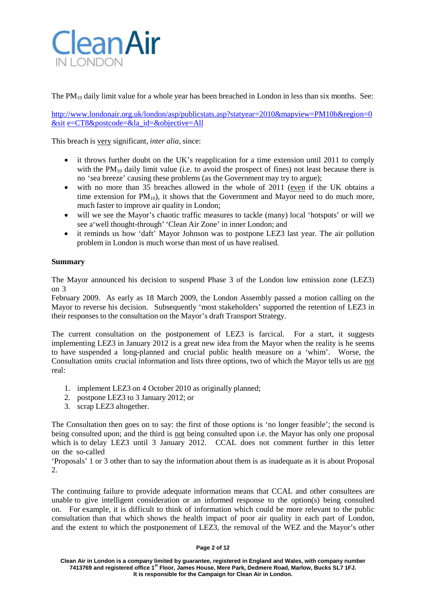

The  $PM_{10}$  daily limit value for a whole year has been breached in London in less than six months. See:

[http://www.londonair.org.uk/london/asp/publicstats.asp?statyear=2010&mapview=PM10b&region=0](http://www.londonair.org.uk/london/asp/publicstats.asp?statyear=2010&mapview=PM10b&region=0&sit)  $\&$ sit e=CT8 $\&$ nostcode= $\&$ la\_id= $\&$ objective=All

This breach is very significant, *inter alia*, since:

- it throws further doubt on the UK's reapplication for a time extension until 2011 to comply with the  $PM_{10}$  daily limit value (i.e. to avoid the prospect of fines) not least because there is no 'sea breeze' causing these problems (as the Government may try to argue);
- with no more than 35 breaches allowed in the whole of 2011 (even if the UK obtains a time extension for  $PM_{10}$ ), it shows that the Government and Mayor need to do much more, much faster to improve air quality in London;
- will we see the Mayor's chaotic traffic measures to tackle (many) local 'hotspots' or will we see a'well thought-through' 'Clean Air Zone' in inner London; and
- it reminds us how 'daft' Mayor Johnson was to postpone LEZ3 last year. The air pollution problem in London is much worse than most of us have realised.

# **Summary**

The Mayor announced his decision to suspend Phase 3 of the London low emission zone (LEZ3) on 3

February 2009. As early as 18 March 2009, the London Assembly passed a motion calling on the Mayor to reverse his decision. Subsequently 'most stakeholders' supported the retention of LEZ3 in their responses to the consultation on the Mayor's draft Transport Strategy.

The current consultation on the postponement of LEZ3 is farcical. For a start, it suggests implementing LEZ3 in January 2012 is a great new idea from the Mayor when the reality is he seems to have suspended a long-planned and crucial public health measure on a 'whim'. Worse, the Consultation omits crucial information and lists three options, two of which the Mayor tells us are not real:

- 1. implement LEZ3 on 4 October 2010 as originally planned;
- 2. postpone LEZ3 to 3 January 2012; or
- 3. scrap LEZ3 altogether.

The Consultation then goes on to say: the first of those options is 'no longer feasible'; the second is being consulted upon; and the third is not being consulted upon i.e. the Mayor has only one proposal which is to delay LEZ3 until 3 January 2012. CCAL does not comment further in this letter on the so-called

'Proposals' 1 or 3 other than to say the information about them is as inadequate as it is about Proposal 2.

The continuing failure to provide adequate information means that CCAL and other consultees are unable to give intelligent consideration or an informed response to the option(s) being consulted on. For example, it is difficult to think of information which could be more relevant to the public consultation than that which shows the health impact of poor air quality in each part of London, and the extent to which the postponement of LEZ3, the removal of the WEZ and the Mayor's other

#### **Page 2 of 12**

**Clean Air in London is a company limited by guarantee, registered in England and Wales, with company number 7413769 and registered office 1st Floor, James House, Mere Park, Dedmere Road, Marlow, Bucks SL7 1FJ. It is responsible for the Campaign for Clean Air in London.**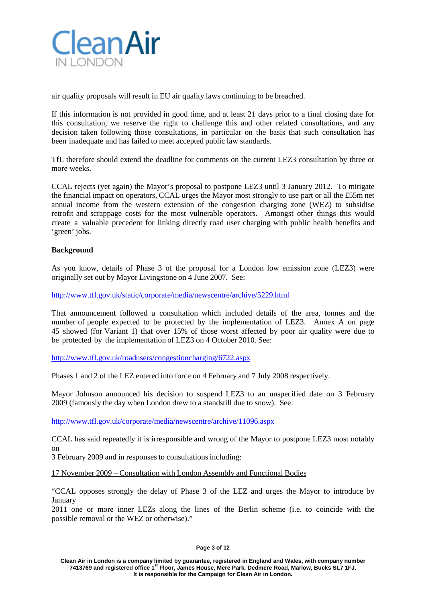

air quality proposals will result in EU air quality laws continuing to be breached.

If this information is not provided in good time, and at least 21 days prior to a final closing date for this consultation, we reserve the right to challenge this and other related consultations, and any decision taken following those consultations, in particular on the basis that such consultation has been inadequate and has failed to meet accepted public law standards.

TfL therefore should extend the deadline for comments on the current LEZ3 consultation by three or more weeks.

CCAL rejects (yet again) the Mayor's proposal to postpone LEZ3 until 3 January 2012. To mitigate the financial impact on operators, CCAL urges the Mayor most strongly to use part or all the £55m net annual income from the western extension of the congestion charging zone (WEZ) to subsidise retrofit and scrappage costs for the most vulnerable operators. Amongst other things this would create a valuable precedent for linking directly road user charging with public health benefits and 'green' jobs.

## **Background**

As you know, details of Phase 3 of the proposal for a London low emission zone (LEZ3) were originally set out by Mayor Livingstone on 4 June 2007. See:

<http://www.tfl.gov.uk/static/corporate/media/newscentre/archive/5229.html>

That announcement followed a consultation which included details of the area, tonnes and the number of people expected to be protected by the implementation of LEZ3. Annex A on page 45 showed (for Variant 1) that over 15% of those worst affected by poor air quality were due to be protected by the implementation of LEZ3 on 4 October 2010. See:

<http://www.tfl.gov.uk/roadusers/congestioncharging/6722.aspx>

Phases 1 and 2 of the LEZ entered into force on 4 February and 7 July 2008 respectively.

Mayor Johnson announced his decision to suspend LEZ3 to an unspecified date on 3 February 2009 (famously the day when London drew to a standstill due to snow). See:

<http://www.tfl.gov.uk/corporate/media/newscentre/archive/11096.aspx>

CCAL has said repeatedly it is irresponsible and wrong of the Mayor to postpone LEZ3 most notably on

3 February 2009 and in responses to consultations including:

17 November 2009 – Consultation with London Assembly and Functional Bodies

"CCAL opposes strongly the delay of Phase 3 of the LEZ and urges the Mayor to introduce by January

2011 one or more inner LEZs along the lines of the Berlin scheme (i.e. to coincide with the possible removal or the WEZ or otherwise)."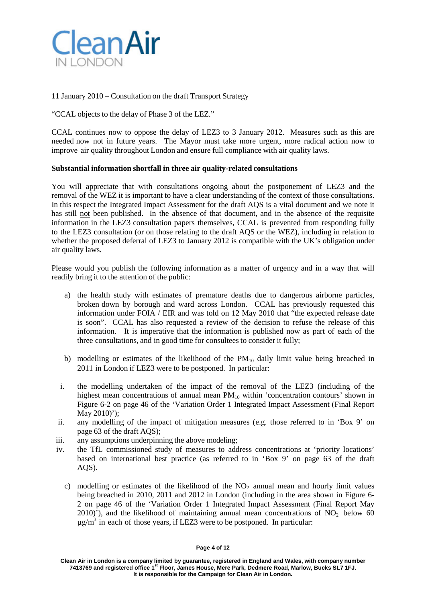

## 11 January 2010 – Consultation on the draft Transport Strategy

"CCAL objects to the delay of Phase 3 of the LEZ."

CCAL continues now to oppose the delay of LEZ3 to 3 January 2012. Measures such as this are needed now not in future years. The Mayor must take more urgent, more radical action now to improve air quality throughout London and ensure full compliance with air quality laws.

## **Substantial information shortfall in three air quality-related consultations**

You will appreciate that with consultations ongoing about the postponement of LEZ3 and the removal of the WEZ it is important to have a clear understanding of the context of those consultations. In this respect the Integrated Impact Assessment for the draft AQS is a vital document and we note it has still not been published. In the absence of that document, and in the absence of the requisite information in the LEZ3 consultation papers themselves, CCAL is prevented from responding fully to the LEZ3 consultation (or on those relating to the draft AQS or the WEZ), including in relation to whether the proposed deferral of LEZ3 to January 2012 is compatible with the UK's obligation under air quality laws.

Please would you publish the following information as a matter of urgency and in a way that will readily bring it to the attention of the public:

- a) the health study with estimates of premature deaths due to dangerous airborne particles, broken down by borough and ward across London. CCAL has previously requested this information under FOIA / EIR and was told on 12 May 2010 that "the expected release date is soon". CCAL has also requested a review of the decision to refuse the release of this information. It is imperative that the information is published now as part of each of the three consultations, and in good time for consultees to consider it fully;
- b) modelling or estimates of the likelihood of the  $PM_{10}$  daily limit value being breached in 2011 in London if LEZ3 were to be postponed. In particular:
- i. the modelling undertaken of the impact of the removal of the LEZ3 (including of the highest mean concentrations of annual mean  $PM_{10}$  within 'concentration contours' shown in Figure 6-2 on page 46 of the 'Variation Order 1 Integrated Impact Assessment (Final Report May 2010)'):
- ii. any modelling of the impact of mitigation measures (e.g. those referred to in 'Box 9' on page 63 of the draft AQS);
- iii. any assumptions underpinning the above modeling;
- iv. the TfL commissioned study of measures to address concentrations at 'priority locations' based on international best practice (as referred to in 'Box 9' on page 63 of the draft AQS).
	- c) modelling or estimates of the likelihood of the  $NO<sub>2</sub>$  annual mean and hourly limit values being breached in 2010, 2011 and 2012 in London (including in the area shown in Figure 6- 2 on page 46 of the 'Variation Order 1 Integrated Impact Assessment (Final Report May  $2010)$ '), and the likelihood of maintaining annual mean concentrations of NO<sub>2</sub> below 60  $\mu$ g/m<sup>3</sup> in each of those years, if LEZ3 were to be postponed. In particular:

#### **Page 4 of 12**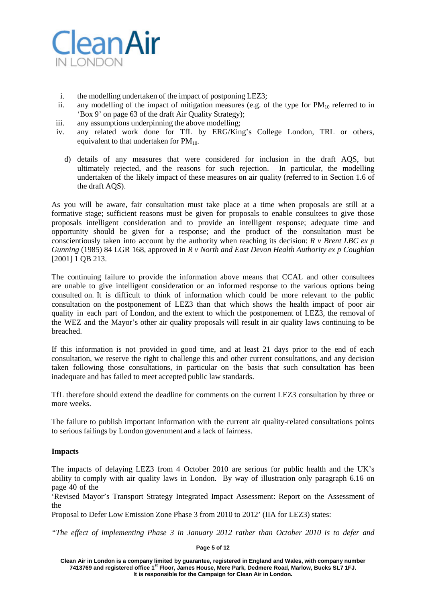

- i. the modelling undertaken of the impact of postponing LEZ3;
- ii. any modelling of the impact of mitigation measures (e.g. of the type for  $PM_{10}$  referred to in 'Box 9' on page 63 of the draft Air Quality Strategy);
- iii. any assumptions underpinning the above modelling;
- iv. any related work done for TfL by ERG/King's College London, TRL or others, equivalent to that undertaken for  $PM_{10}$ .
	- d) details of any measures that were considered for inclusion in the draft AQS, but ultimately rejected, and the reasons for such rejection. In particular, the modelling undertaken of the likely impact of these measures on air quality (referred to in Section 1.6 of the draft AQS).

As you will be aware, fair consultation must take place at a time when proposals are still at a formative stage; sufficient reasons must be given for proposals to enable consultees to give those proposals intelligent consideration and to provide an intelligent response; adequate time and opportunity should be given for a response; and the product of the consultation must be conscientiously taken into account by the authority when reaching its decision: *R v Brent LBC ex p Gunning* (1985) 84 LGR 168, approved in *R v North and East Devon Health Authority ex p Coughlan* [2001] 1 QB 213.

The continuing failure to provide the information above means that CCAL and other consultees are unable to give intelligent consideration or an informed response to the various options being consulted on. It is difficult to think of information which could be more relevant to the public consultation on the postponement of LEZ3 than that which shows the health impact of poor air quality in each part of London, and the extent to which the postponement of LEZ3, the removal of the WEZ and the Mayor's other air quality proposals will result in air quality laws continuing to be breached.

If this information is not provided in good time, and at least 21 days prior to the end of each consultation, we reserve the right to challenge this and other current consultations, and any decision taken following those consultations, in particular on the basis that such consultation has been inadequate and has failed to meet accepted public law standards.

TfL therefore should extend the deadline for comments on the current LEZ3 consultation by three or more weeks.

The failure to publish important information with the current air quality-related consultations points to serious failings by London government and a lack of fairness.

## **Impacts**

The impacts of delaying LEZ3 from 4 October 2010 are serious for public health and the UK's ability to comply with air quality laws in London. By way of illustration only paragraph 6.16 on page 40 of the

'Revised Mayor's Transport Strategy Integrated Impact Assessment: Report on the Assessment of the

Proposal to Defer Low Emission Zone Phase 3 from 2010 to 2012' (IIA for LEZ3) states:

*"The effect of implementing Phase 3 in January 2012 rather than October 2010 is to defer and*

**Page 5 of 12**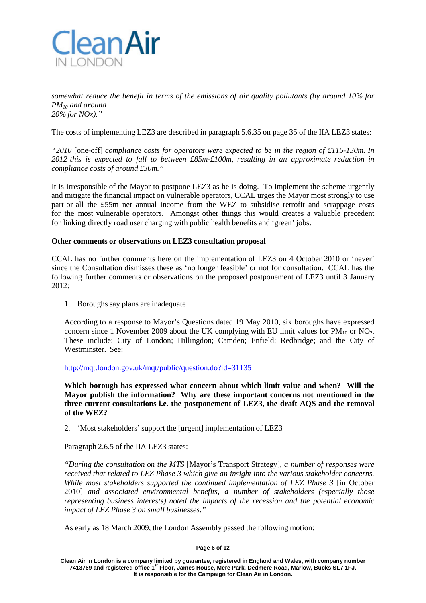

*somewhat reduce the benefit in terms of the emissions of air quality pollutants (by around 10% for PM10 and around 20% for NOx)."*

The costs of implementing LEZ3 are described in paragraph 5.6.35 on page 35 of the IIA LEZ3 states:

*"2010* [one-off] *compliance costs for operators were expected to be in the region of £115-130m. In 2012 this is expected to fall to between £85m-£100m, resulting in an approximate reduction in compliance costs of around £30m."*

It is irresponsible of the Mayor to postpone LEZ3 as he is doing. To implement the scheme urgently and mitigate the financial impact on vulnerable operators, CCAL urges the Mayor most strongly to use part or all the £55m net annual income from the WEZ to subsidise retrofit and scrappage costs for the most vulnerable operators. Amongst other things this would creates a valuable precedent for linking directly road user charging with public health benefits and 'green' jobs.

#### **Other comments or observations on LEZ3 consultation proposal**

CCAL has no further comments here on the implementation of LEZ3 on 4 October 2010 or 'never' since the Consultation dismisses these as 'no longer feasible' or not for consultation. CCAL has the following further comments or observations on the proposed postponement of LEZ3 until 3 January 2012:

#### 1. Boroughs say plans are inadequate

According to a response to Mayor's Questions dated 19 May 2010, six boroughs have expressed concern since 1 November 2009 about the UK complying with EU limit values for  $PM_{10}$  or NO<sub>2</sub>. These include: City of London; Hillingdon; Camden; Enfield; Redbridge; and the City of Westminster. See:

<http://mqt.london.gov.uk/mqt/public/question.do?id=31135>

**Which borough has expressed what concern about which limit value and when? Will the Mayor publish the information? Why are these important concerns not mentioned in the three current consultations i.e. the postponement of LEZ3, the draft AQS and the removal of the WEZ?**

2. 'Most stakeholders' support the [urgent] implementation of LEZ3

Paragraph 2.6.5 of the IIA LEZ3 states:

*"During the consultation on the MTS* [Mayor's Transport Strategy]*, a number of responses were received that related to LEZ Phase 3 which give an insight into the various stakeholder concerns. While most stakeholders supported the continued implementation of LEZ Phase 3* [in October 2010] *and associated environmental benefits, a number of stakeholders (especially those representing business interests) noted the impacts of the recession and the potential economic impact of LEZ Phase 3 on small businesses."*

As early as 18 March 2009, the London Assembly passed the following motion:

#### **Page 6 of 12**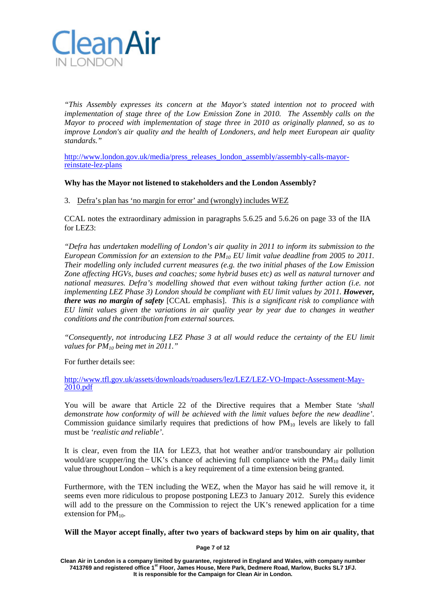

*"This Assembly expresses its concern at the Mayor's stated intention not to proceed with implementation of stage three of the Low Emission Zone in 2010. The Assembly calls on the Mayor to proceed with implementation of stage three in 2010 as originally planned, so as to improve London's air quality and the health of Londoners, and help meet European air quality standards."*

[http://www.london.gov.uk/media/press\\_releases\\_london\\_assembly/assembly-calls-mayor](http://www.london.gov.uk/media/press_releases_london_assembly/assembly-calls-mayor-reinstate-lez-plans)[reinstate-lez-plans](http://www.london.gov.uk/media/press_releases_london_assembly/assembly-calls-mayor-reinstate-lez-plans)

## **Why has the Mayor not listened to stakeholders and the London Assembly?**

#### 3. Defra's plan has 'no margin for error' and (wrongly) includes WEZ

CCAL notes the extraordinary admission in paragraphs 5.6.25 and 5.6.26 on page 33 of the IIA for LEZ3:

*"Defra has undertaken modelling of London's air quality in 2011 to inform its submission to the European Commission for an extension to the PM10 EU limit value deadline from 2005 to 2011. Their modelling only included current measures (e.g. the two initial phases of the Low Emission Zone affecting HGVs, buses and coaches; some hybrid buses etc) as well as natural turnover and national measures. Defra's modelling showed that even without taking further action (i.e. not implementing LEZ Phase 3) London should be compliant with EU limit values by 2011. However, there was no margin of safety* [CCAL emphasis]. *This is a significant risk to compliance with EU limit values given the variations in air quality year by year due to changes in weather conditions and the contribution from external sources.*

*"Consequently, not introducing LEZ Phase 3 at all would reduce the certainty of the EU limit values for PM10 being met in 2011."*

For further details see:

[http://www.tfl.gov.uk/assets/downloads/roadusers/lez/LEZ/LEZ-VO-Impact-Assessment-May-](http://www.tfl.gov.uk/assets/downloads/roadusers/lez/LEZ/LEZ-VO-Impact-Assessment-May-2010.pdf)[2010.pdf](http://www.tfl.gov.uk/assets/downloads/roadusers/lez/LEZ/LEZ-VO-Impact-Assessment-May-2010.pdf)

You will be aware that Article 22 of the Directive requires that a Member State *'shall demonstrate how conformity of will be achieved with the limit values before the new deadline'*. Commission guidance similarly requires that predictions of how  $PM_{10}$  levels are likely to fall must be *'realistic and reliable'*.

It is clear, even from the IIA for LEZ3, that hot weather and/or transboundary air pollution would/are scupper/ing the UK's chance of achieving full compliance with the  $PM_{10}$  daily limit value throughout London – which is a key requirement of a time extension being granted.

Furthermore, with the TEN including the WEZ, when the Mayor has said he will remove it, it seems even more ridiculous to propose postponing LEZ3 to January 2012. Surely this evidence will add to the pressure on the Commission to reject the UK's renewed application for a time extension for  $PM_{10}$ .

**Will the Mayor accept finally, after two years of backward steps by him on air quality, that** 

**Page 7 of 12**

**Clean Air in London is a company limited by guarantee, registered in England and Wales, with company number 7413769 and registered office 1st Floor, James House, Mere Park, Dedmere Road, Marlow, Bucks SL7 1FJ. It is responsible for the Campaign for Clean Air in London.**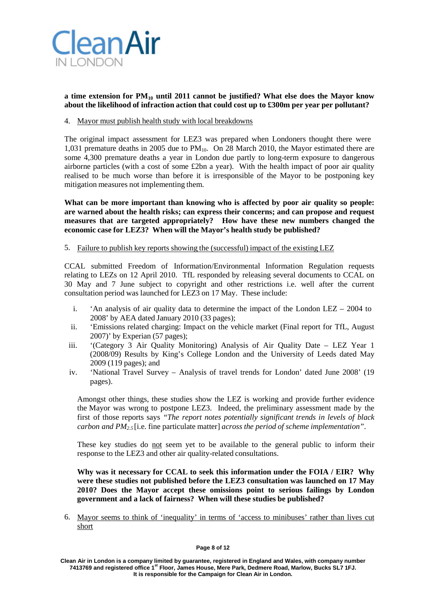

# **a time extension for PM10 until 2011 cannot be justified? What else does the Mayor know about the likelihood of infraction action that could cost up to £300m per year per pollutant?**

## 4. Mayor must publish health study with local breakdowns

The original impact assessment for LEZ3 was prepared when Londoners thought there were 1,031 premature deaths in 2005 due to  $PM_{10}$ . On 28 March 2010, the Mayor estimated there are some 4,300 premature deaths a year in London due partly to long-term exposure to dangerous airborne particles (with a cost of some £2bn a year). With the health impact of poor air quality realised to be much worse than before it is irresponsible of the Mayor to be postponing key mitigation measures not implementing them.

**What can be more important than knowing who is affected by poor air quality so people: are warned about the health risks; can express their concerns; and can propose and request measures that are targeted appropriately? How have these new numbers changed the economic case for LEZ3? When will the Mayor's health study be published?**

#### 5. Failure to publish key reports showing the (successful) impact of the existing LEZ

CCAL submitted Freedom of Information/Environmental Information Regulation requests relating to LEZs on 12 April 2010. TfL responded by releasing several documents to CCAL on 30 May and 7 June subject to copyright and other restrictions i.e. well after the current consultation period was launched for LEZ3 on 17 May. These include:

- i. 'An analysis of air quality data to determine the impact of the London LEZ 2004 to 2008' by AEA dated January 2010 (33 pages);
- ii. 'Emissions related charging: Impact on the vehicle market (Final report for TfL, August 2007)' by Experian (57 pages);
- iii. '(Category 3 Air Quality Monitoring) Analysis of Air Quality Date LEZ Year 1 (2008/09) Results by King's College London and the University of Leeds dated May 2009 (119 pages); and
- iv. 'National Travel Survey Analysis of travel trends for London' dated June 2008' (19 pages).

Amongst other things, these studies show the LEZ is working and provide further evidence the Mayor was wrong to postpone LEZ3. Indeed, the preliminary assessment made by the first of those reports says *"The report notes potentially significant trends in levels of black carbon and PM2.5* [i.e. fine particulate matter] *across the period of scheme implementation"*.

These key studies do not seem yet to be available to the general public to inform their response to the LEZ3 and other air quality-related consultations.

**Why was it necessary for CCAL to seek this information under the FOIA / EIR? Why were these studies not published before the LEZ3 consultation was launched on 17 May 2010? Does the Mayor accept these omissions point to serious failings by London government and a lack of fairness? When will these studies be published?**

6. Mayor seems to think of 'inequality' in terms of 'access to minibuses' rather than lives cut short

#### **Page 8 of 12**

**Clean Air in London is a company limited by guarantee, registered in England and Wales, with company number 7413769 and registered office 1st Floor, James House, Mere Park, Dedmere Road, Marlow, Bucks SL7 1FJ. It is responsible for the Campaign for Clean Air in London.**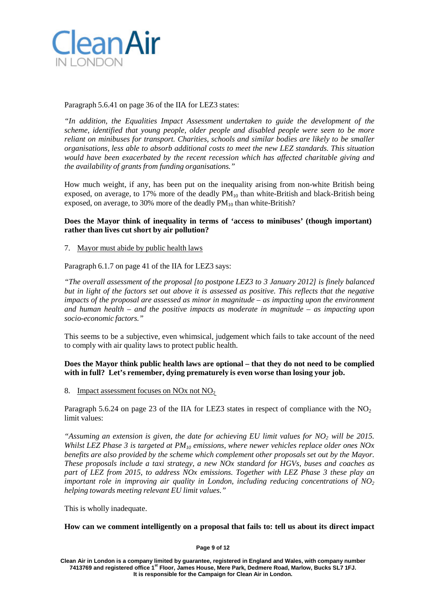

## Paragraph 5.6.41 on page 36 of the IIA for LEZ3 states:

*"In addition, the Equalities Impact Assessment undertaken to guide the development of the scheme, identified that young people, older people and disabled people were seen to be more reliant on minibuses for transport. Charities, schools and similar bodies are likely to be smaller organisations, less able to absorb additional costs to meet the new LEZ standards. This situation would have been exacerbated by the recent recession which has affected charitable giving and the availability of grants from funding organisations."*

How much weight, if any, has been put on the inequality arising from non-white British being exposed, on average, to 17% more of the deadly  $PM_{10}$  than white-British and black-British being exposed, on average, to 30% more of the deadly  $PM_{10}$  than white-British?

# **Does the Mayor think of inequality in terms of 'access to minibuses' (though important) rather than lives cut short by air pollution?**

7. Mayor must abide by public health laws

Paragraph 6.1.7 on page 41 of the IIA for LEZ3 says:

*"The overall assessment of the proposal [to postpone LEZ3 to 3 January 2012] is finely balanced but in light of the factors set out above it is assessed as positive. This reflects that the negative impacts of the proposal are assessed as minor in magnitude – as impacting upon the environment and human health – and the positive impacts as moderate in magnitude – as impacting upon socio-economic factors."*

This seems to be a subjective, even whimsical, judgement which fails to take account of the need to comply with air quality laws to protect public health.

## **Does the Mayor think public health laws are optional – that they do not need to be complied with in full? Let's remember, dying prematurely is even worse than losing your job.**

8. Impact assessment focuses on NO<sub>x</sub> not  $NO<sub>2</sub>$ 

Paragraph 5.6.24 on page 23 of the IIA for LEZ3 states in respect of compliance with the  $NO<sub>2</sub>$ limit values:

*"Assuming an extension is given, the date for achieving EU limit values for NO2 will be 2015. Whilst LEZ Phase 3 is targeted at PM10 emissions, where newer vehicles replace older ones NOx benefits are also provided by the scheme which complement other proposals set out by the Mayor. These proposals include a taxi strategy, a new NOx standard for HGVs, buses and coaches as part of LEZ from 2015, to address NOx emissions. Together with LEZ Phase 3 these play an important role in improving air quality in London, including reducing concentrations of NO2 helping towards meeting relevant EU limit values."*

This is wholly inadequate.

#### **How can we comment intelligently on a proposal that fails to: tell us about its direct impact**

#### **Page 9 of 12**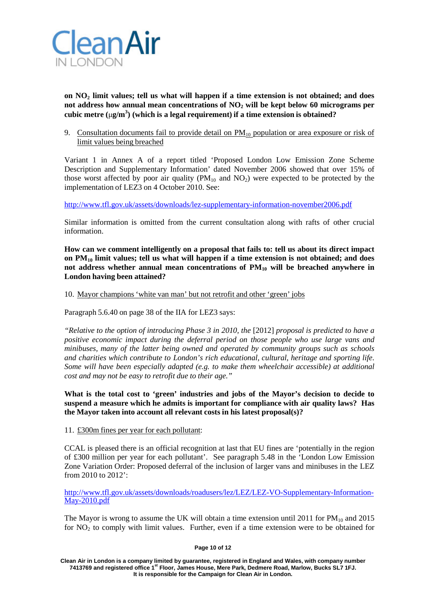

**on NO2 limit values; tell us what will happen if a time extension is not obtained; and does not address how annual mean concentrations of NO2 will be kept below 60 micrograms per cubic metre (**μ**g/m<sup>3</sup> ) (which is a legal requirement) if a time extension is obtained?**

9. Consultation documents fail to provide detail on  $PM_{10}$  population or area exposure or risk of limit values being breached

Variant 1 in Annex A of a report titled 'Proposed London Low Emission Zone Scheme Description and Supplementary Information' dated November 2006 showed that over 15% of those worst affected by poor air quality ( $PM_{10}$  and  $NO_2$ ) were expected to be protected by the implementation of LEZ3 on 4 October 2010. See:

<http://www.tfl.gov.uk/assets/downloads/lez-supplementary-information-november2006.pdf>

Similar information is omitted from the current consultation along with rafts of other crucial information.

**How can we comment intelligently on a proposal that fails to: tell us about its direct impact on PM10 limit values; tell us what will happen if a time extension is not obtained; and does not address whether annual mean concentrations of PM10 will be breached anywhere in London having been attained?**

10. Mayor champions 'white van man' but not retrofit and other 'green' jobs

Paragraph 5.6.40 on page 38 of the IIA for LEZ3 says:

*"Relative to the option of introducing Phase 3 in 2010, the* [2012] *proposal is predicted to have a positive economic impact during the deferral period on those people who use large vans and minibuses, many of the latter being owned and operated by community groups such as schools and charities which contribute to London's rich educational, cultural, heritage and sporting life. Some will have been especially adapted (e.g. to make them wheelchair accessible) at additional cost and may not be easy to retrofit due to their age."*

**What is the total cost to 'green' industries and jobs of the Mayor's decision to decide to suspend a measure which he admits is important for compliance with air quality laws? Has the Mayor taken into account all relevant costs in his latest proposal(s)?**

11. £300m fines per year for each pollutant:

CCAL is pleased there is an official recognition at last that EU fines are 'potentially in the region of £300 million per year for each pollutant'. See paragraph 5.48 in the 'London Low Emission Zone Variation Order: Proposed deferral of the inclusion of larger vans and minibuses in the LEZ from 2010 to  $2012$ .

[http://www.tfl.gov.uk/assets/downloads/roadusers/lez/LEZ/LEZ-VO-Supplementary-Information-](http://www.tfl.gov.uk/assets/downloads/roadusers/lez/LEZ/LEZ-VO-Supplementary-Information-May-2010.pdf) [May-2010.pdf](http://www.tfl.gov.uk/assets/downloads/roadusers/lez/LEZ/LEZ-VO-Supplementary-Information-May-2010.pdf)

The Mayor is wrong to assume the UK will obtain a time extension until 2011 for  $PM_{10}$  and 2015 for NO2 to comply with limit values. Further, even if a time extension were to be obtained for

**Page 10 of 12**

**Clean Air in London is a company limited by guarantee, registered in England and Wales, with company number 7413769 and registered office 1st Floor, James House, Mere Park, Dedmere Road, Marlow, Bucks SL7 1FJ. It is responsible for the Campaign for Clean Air in London.**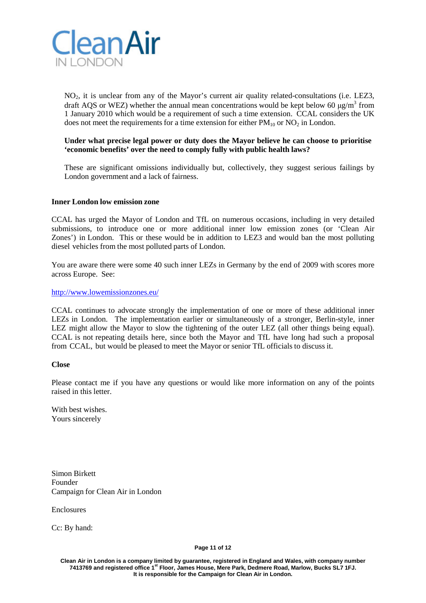

NO2, it is unclear from any of the Mayor's current air quality related-consultations (i.e. LEZ3, draft AOS or WEZ) whether the annual mean concentrations would be kept below 60  $\mu$ g/m<sup>3</sup> from 1 January 2010 which would be a requirement of such a time extension. CCAL considers the UK does not meet the requirements for a time extension for either  $PM_{10}$  or  $NO<sub>2</sub>$  in London.

## **Under what precise legal power or duty does the Mayor believe he can choose to prioritise 'economic benefits' over the need to comply fully with public health laws?**

These are significant omissions individually but, collectively, they suggest serious failings by London government and a lack of fairness.

#### **Inner London low emission zone**

CCAL has urged the Mayor of London and TfL on numerous occasions, including in very detailed submissions, to introduce one or more additional inner low emission zones (or 'Clean Air Zones') in London. This or these would be in addition to LEZ3 and would ban the most polluting diesel vehicles from the most polluted parts of London.

You are aware there were some 40 such inner LEZs in Germany by the end of 2009 with scores more across Europe. See:

<http://www.lowemissionzones.eu/>

CCAL continues to advocate strongly the implementation of one or more of these additional inner LEZs in London. The implementation earlier or simultaneously of a stronger, Berlin-style, inner LEZ might allow the Mayor to slow the tightening of the outer LEZ (all other things being equal). CCAL is not repeating details here, since both the Mayor and TfL have long had such a proposal from CCAL, but would be pleased to meet the Mayor or senior TfL officials to discuss it.

## **Close**

Please contact me if you have any questions or would like more information on any of the points raised in this letter.

With best wishes. Yours sincerely

Simon Birkett Founder Campaign for Clean Air in London

Enclosures

Cc: By hand:

**Page 11 of 12**